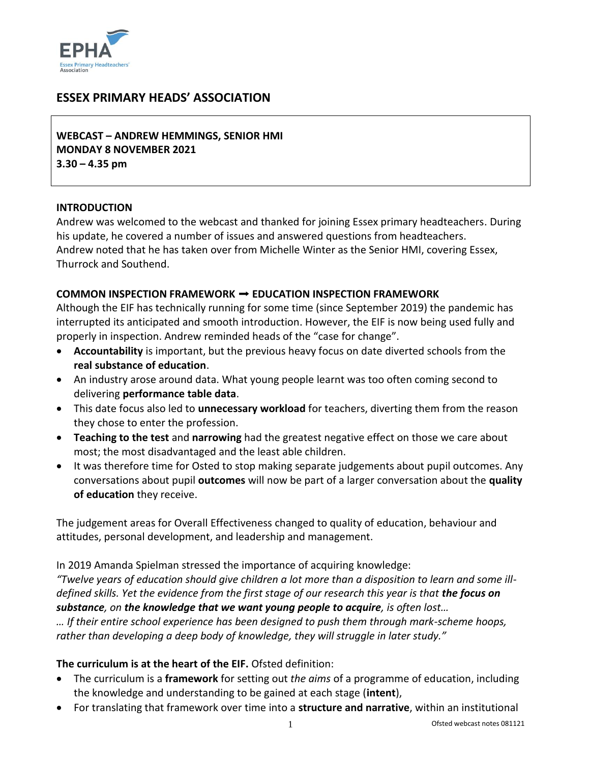

# **ESSEX PRIMARY HEADS' ASSOCIATION**

**WEBCAST – ANDREW HEMMINGS, SENIOR HMI MONDAY 8 NOVEMBER 2021 3.30 – 4.35 pm**

#### **INTRODUCTION**

Andrew was welcomed to the webcast and thanked for joining Essex primary headteachers. During his update, he covered a number of issues and answered questions from headteachers. Andrew noted that he has taken over from Michelle Winter as the Senior HMI, covering Essex, Thurrock and Southend.

#### **COMMON INSPECTION FRAMEWORK** ➡ **EDUCATION INSPECTION FRAMEWORK**

Although the EIF has technically running for some time (since September 2019) the pandemic has interrupted its anticipated and smooth introduction. However, the EIF is now being used fully and properly in inspection. Andrew reminded heads of the "case for change".

- **Accountability** is important, but the previous heavy focus on date diverted schools from the **real substance of education**.
- An industry arose around data. What young people learnt was too often coming second to delivering **performance table data**.
- This date focus also led to **unnecessary workload** for teachers, diverting them from the reason they chose to enter the profession.
- **Teaching to the test** and **narrowing** had the greatest negative effect on those we care about most; the most disadvantaged and the least able children.
- It was therefore time for Osted to stop making separate judgements about pupil outcomes. Any conversations about pupil **outcomes** will now be part of a larger conversation about the **quality of education** they receive.

The judgement areas for Overall Effectiveness changed to quality of education, behaviour and attitudes, personal development, and leadership and management.

In 2019 Amanda Spielman stressed the importance of acquiring knowledge:

*"Twelve years of education should give children a lot more than a disposition to learn and some illdefined skills. Yet the evidence from the first stage of our research this year is that the focus on substance, on the knowledge that we want young people to acquire, is often lost…*

*… If their entire school experience has been designed to push them through mark-scheme hoops, rather than developing a deep body of knowledge, they will struggle in later study."*

#### **The curriculum is at the heart of the EIF.** Ofsted definition:

- The curriculum is a **framework** for setting out *the aims* of a programme of education, including the knowledge and understanding to be gained at each stage (**intent**),
- For translating that framework over time into a **structure and narrative**, within an institutional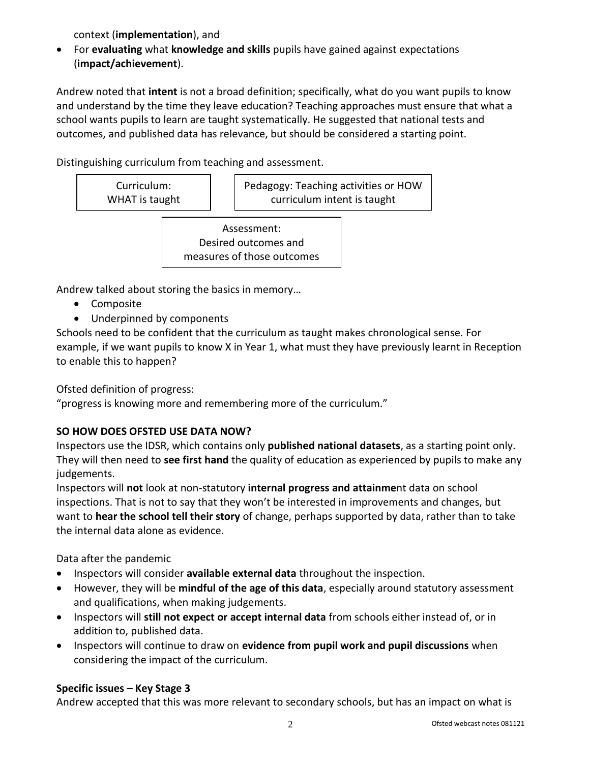context (**implementation**), and

 For **evaluating** what **knowledge and skills** pupils have gained against expectations (**impact/achievement**).

Andrew noted that **intent** is not a broad definition; specifically, what do you want pupils to know and understand by the time they leave education? Teaching approaches must ensure that what a school wants pupils to learn are taught systematically. He suggested that national tests and outcomes, and published data has relevance, but should be considered a starting point.

Distinguishing curriculum from teaching and assessment.

| Curriculum:    | Pedagogy: Teaching activities or HOW |
|----------------|--------------------------------------|
| WHAT is taught | curriculum intent is taught          |

Assessment: Desired outcomes and measures of those outcomes

Andrew talked about storing the basics in memory…

- Composite
- Underpinned by components

Schools need to be confident that the curriculum as taught makes chronological sense. For example, if we want pupils to know X in Year 1, what must they have previously learnt in Reception to enable this to happen?

Ofsted definition of progress:

"progress is knowing more and remembering more of the curriculum."

# **SO HOW DOES OFSTED USE DATA NOW?**

Inspectors use the IDSR, which contains only **published national datasets**, as a starting point only. They will then need to **see first hand** the quality of education as experienced by pupils to make any judgements.

Inspectors will **not** look at non-statutory **internal progress and attainme**nt data on school inspections. That is not to say that they won't be interested in improvements and changes, but want to **hear the school tell their story** of change, perhaps supported by data, rather than to take the internal data alone as evidence.

Data after the pandemic

- Inspectors will consider **available external data** throughout the inspection.
- However, they will be **mindful of the age of this data**, especially around statutory assessment and qualifications, when making judgements.
- Inspectors will **still not expect or accept internal data** from schools either instead of, or in addition to, published data.
- Inspectors will continue to draw on **evidence from pupil work and pupil discussions** when considering the impact of the curriculum.

# **Specific issues – Key Stage 3**

Andrew accepted that this was more relevant to secondary schools, but has an impact on what is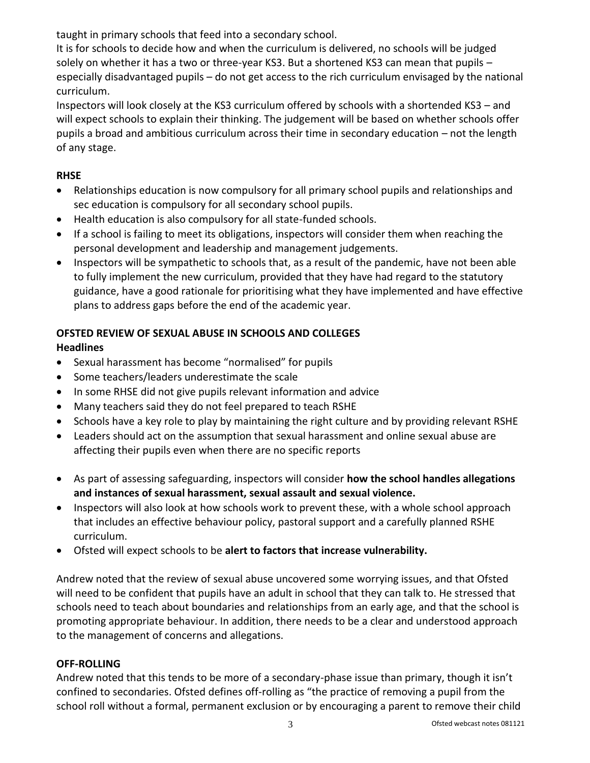taught in primary schools that feed into a secondary school.

It is for schools to decide how and when the curriculum is delivered, no schools will be judged solely on whether it has a two or three-year KS3. But a shortened KS3 can mean that pupils especially disadvantaged pupils – do not get access to the rich curriculum envisaged by the national curriculum.

Inspectors will look closely at the KS3 curriculum offered by schools with a shortended KS3 – and will expect schools to explain their thinking. The judgement will be based on whether schools offer pupils a broad and ambitious curriculum across their time in secondary education – not the length of any stage.

## **RHSE**

- Relationships education is now compulsory for all primary school pupils and relationships and sec education is compulsory for all secondary school pupils.
- Health education is also compulsory for all state-funded schools.
- If a school is failing to meet its obligations, inspectors will consider them when reaching the personal development and leadership and management judgements.
- Inspectors will be sympathetic to schools that, as a result of the pandemic, have not been able to fully implement the new curriculum, provided that they have had regard to the statutory guidance, have a good rationale for prioritising what they have implemented and have effective plans to address gaps before the end of the academic year.

# **OFSTED REVIEW OF SEXUAL ABUSE IN SCHOOLS AND COLLEGES**

## **Headlines**

- Sexual harassment has become "normalised" for pupils
- Some teachers/leaders underestimate the scale
- In some RHSE did not give pupils relevant information and advice
- Many teachers said they do not feel prepared to teach RSHE
- Schools have a key role to play by maintaining the right culture and by providing relevant RSHE
- Leaders should act on the assumption that sexual harassment and online sexual abuse are affecting their pupils even when there are no specific reports
- As part of assessing safeguarding, inspectors will consider **how the school handles allegations and instances of sexual harassment, sexual assault and sexual violence.**
- Inspectors will also look at how schools work to prevent these, with a whole school approach that includes an effective behaviour policy, pastoral support and a carefully planned RSHE curriculum.
- Ofsted will expect schools to be **alert to factors that increase vulnerability.**

Andrew noted that the review of sexual abuse uncovered some worrying issues, and that Ofsted will need to be confident that pupils have an adult in school that they can talk to. He stressed that schools need to teach about boundaries and relationships from an early age, and that the school is promoting appropriate behaviour. In addition, there needs to be a clear and understood approach to the management of concerns and allegations.

### **OFF-ROLLING**

Andrew noted that this tends to be more of a secondary-phase issue than primary, though it isn't confined to secondaries. Ofsted defines off-rolling as "the practice of removing a pupil from the school roll without a formal, permanent exclusion or by encouraging a parent to remove their child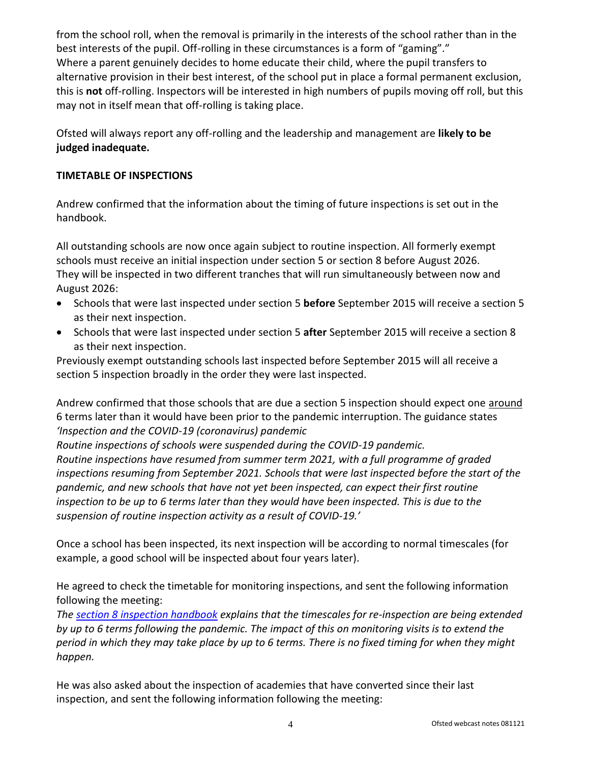from the school roll, when the removal is primarily in the interests of the school rather than in the best interests of the pupil. Off-rolling in these circumstances is a form of "gaming"." Where a parent genuinely decides to home educate their child, where the pupil transfers to alternative provision in their best interest, of the school put in place a formal permanent exclusion, this is **not** off-rolling. Inspectors will be interested in high numbers of pupils moving off roll, but this may not in itself mean that off-rolling is taking place.

Ofsted will always report any off-rolling and the leadership and management are **likely to be judged inadequate.**

#### **TIMETABLE OF INSPECTIONS**

Andrew confirmed that the information about the timing of future inspections is set out in the handbook.

All outstanding schools are now once again subject to routine inspection. All formerly exempt schools must receive an initial inspection under section 5 or section 8 before August 2026. They will be inspected in two different tranches that will run simultaneously between now and August 2026:

- Schools that were last inspected under section 5 **before** September 2015 will receive a section 5 as their next inspection.
- Schools that were last inspected under section 5 **after** September 2015 will receive a section 8 as their next inspection.

Previously exempt outstanding schools last inspected before September 2015 will all receive a section 5 inspection broadly in the order they were last inspected.

Andrew confirmed that those schools that are due a section 5 inspection should expect one around 6 terms later than it would have been prior to the pandemic interruption. The guidance states *'Inspection and the COVID-19 (coronavirus) pandemic*

*Routine inspections of schools were suspended during the COVID-19 pandemic. Routine inspections have resumed from summer term 2021, with a full programme of graded inspections resuming from September 2021. Schools that were last inspected before the start of the pandemic, and new schools that have not yet been inspected, can expect their first routine inspection to be up to 6 terms later than they would have been inspected. This is due to the suspension of routine inspection activity as a result of COVID-19.'*

Once a school has been inspected, its next inspection will be according to normal timescales (for example, a good school will be inspected about four years later).

He agreed to check the timetable for monitoring inspections, and sent the following information following the meeting:

*The [section 8 inspection handbook](https://www.gov.uk/government/publications/section-8-school-inspection-handbook-eif/school-inspection-handbook-section-8#monitoring-inspections-for-schools-judged-requires-improvement) explains that the timescales for re-inspection are being extended by up to 6 terms following the pandemic. The impact of this on monitoring visits is to extend the period in which they may take place by up to 6 terms. There is no fixed timing for when they might happen.*

He was also asked about the inspection of academies that have converted since their last inspection, and sent the following information following the meeting: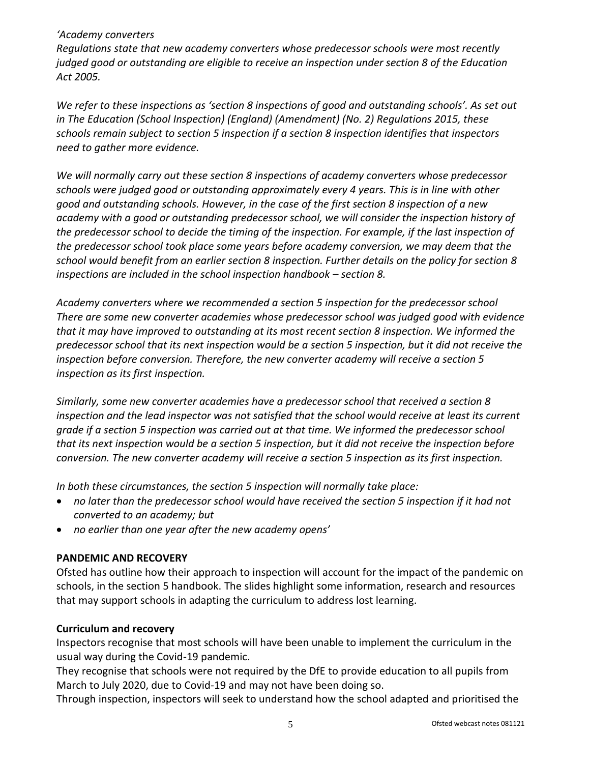#### *'Academy converters*

*Regulations state that new academy converters whose predecessor schools were most recently judged good or outstanding are eligible to receive an inspection under section 8 of the Education Act 2005.*

*We refer to these inspections as 'section 8 inspections of good and outstanding schools'. As set out in The Education (School Inspection) (England) (Amendment) (No. 2) Regulations 2015, these schools remain subject to section 5 inspection if a section 8 inspection identifies that inspectors need to gather more evidence.*

*We will normally carry out these section 8 inspections of academy converters whose predecessor schools were judged good or outstanding approximately every 4 years. This is in line with other good and outstanding schools. However, in the case of the first section 8 inspection of a new academy with a good or outstanding predecessor school, we will consider the inspection history of the predecessor school to decide the timing of the inspection. For example, if the last inspection of the predecessor school took place some years before academy conversion, we may deem that the school would benefit from an earlier section 8 inspection. Further details on the policy for section 8 inspections are included in the school inspection handbook – section 8.* 

*Academy converters where we recommended a section 5 inspection for the predecessor school There are some new converter academies whose predecessor school was judged good with evidence that it may have improved to outstanding at its most recent section 8 inspection. We informed the predecessor school that its next inspection would be a section 5 inspection, but it did not receive the inspection before conversion. Therefore, the new converter academy will receive a section 5 inspection as its first inspection.*

*Similarly, some new converter academies have a predecessor school that received a section 8 inspection and the lead inspector was not satisfied that the school would receive at least its current grade if a section 5 inspection was carried out at that time. We informed the predecessor school that its next inspection would be a section 5 inspection, but it did not receive the inspection before conversion. The new converter academy will receive a section 5 inspection as its first inspection.*

*In both these circumstances, the section 5 inspection will normally take place:*

- *no later than the predecessor school would have received the section 5 inspection if it had not converted to an academy; but*
- *no earlier than one year after the new academy opens'*

### **PANDEMIC AND RECOVERY**

Ofsted has outline how their approach to inspection will account for the impact of the pandemic on schools, in the section 5 handbook. The slides highlight some information, research and resources that may support schools in adapting the curriculum to address lost learning.

#### **Curriculum and recovery**

Inspectors recognise that most schools will have been unable to implement the curriculum in the usual way during the Covid-19 pandemic.

They recognise that schools were not required by the DfE to provide education to all pupils from March to July 2020, due to Covid-19 and may not have been doing so.

Through inspection, inspectors will seek to understand how the school adapted and prioritised the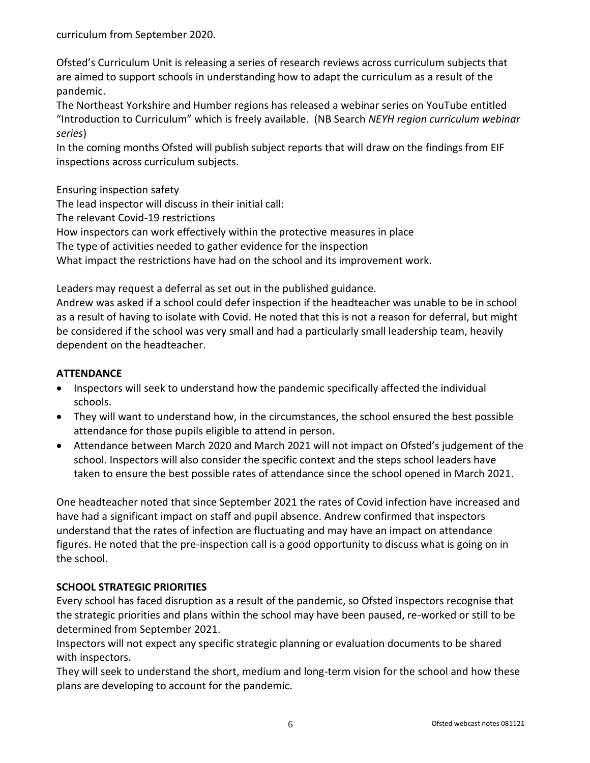curriculum from September 2020.

Ofsted's Curriculum Unit is releasing a series of research reviews across curriculum subjects that are aimed to support schools in understanding how to adapt the curriculum as a result of the pandemic.

The Northeast Yorkshire and Humber regions has released a webinar series on YouTube entitled "Introduction to Curriculum" which is freely available. (NB Search *NEYH region curriculum webinar series*)

In the coming months Ofsted will publish subject reports that will draw on the findings from EIF inspections across curriculum subjects.

Ensuring inspection safety

The lead inspector will discuss in their initial call:

The relevant Covid-19 restrictions

How inspectors can work effectively within the protective measures in place

The type of activities needed to gather evidence for the inspection

What impact the restrictions have had on the school and its improvement work.

Leaders may request a deferral as set out in the published guidance.

Andrew was asked if a school could defer inspection if the headteacher was unable to be in school as a result of having to isolate with Covid. He noted that this is not a reason for deferral, but might be considered if the school was very small and had a particularly small leadership team, heavily dependent on the headteacher.

### **ATTENDANCE**

- Inspectors will seek to understand how the pandemic specifically affected the individual schools.
- They will want to understand how, in the circumstances, the school ensured the best possible attendance for those pupils eligible to attend in person.
- Attendance between March 2020 and March 2021 will not impact on Ofsted's judgement of the school. Inspectors will also consider the specific context and the steps school leaders have taken to ensure the best possible rates of attendance since the school opened in March 2021.

One headteacher noted that since September 2021 the rates of Covid infection have increased and have had a significant impact on staff and pupil absence. Andrew confirmed that inspectors understand that the rates of infection are fluctuating and may have an impact on attendance figures. He noted that the pre-inspection call is a good opportunity to discuss what is going on in the school.

## **SCHOOL STRATEGIC PRIORITIES**

Every school has faced disruption as a result of the pandemic, so Ofsted inspectors recognise that the strategic priorities and plans within the school may have been paused, re-worked or still to be determined from September 2021.

Inspectors will not expect any specific strategic planning or evaluation documents to be shared with inspectors.

They will seek to understand the short, medium and long-term vision for the school and how these plans are developing to account for the pandemic.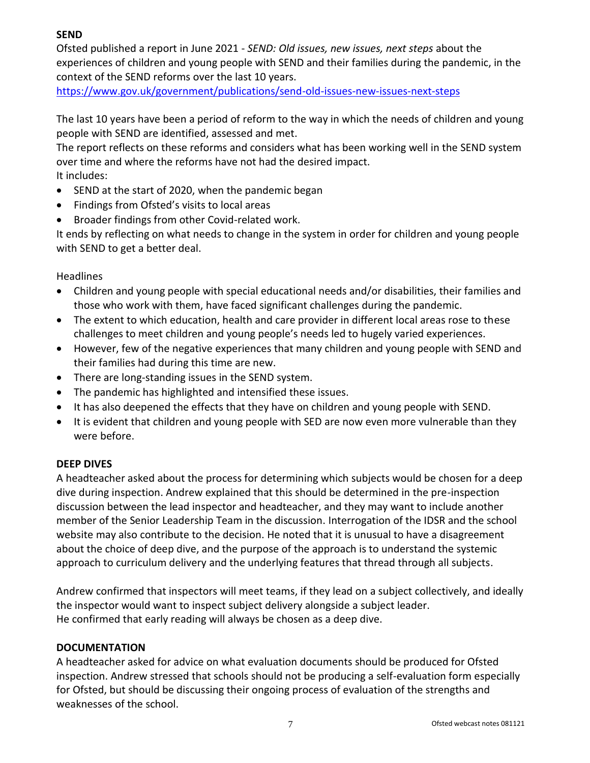## **SEND**

Ofsted published a report in June 2021 - *SEND: Old issues, new issues, next steps* about the experiences of children and young people with SEND and their families during the pandemic, in the context of the SEND reforms over the last 10 years.

<https://www.gov.uk/government/publications/send-old-issues-new-issues-next-steps>

The last 10 years have been a period of reform to the way in which the needs of children and young people with SEND are identified, assessed and met.

The report reflects on these reforms and considers what has been working well in the SEND system over time and where the reforms have not had the desired impact. It includes:

- SEND at the start of 2020, when the pandemic began
- Findings from Ofsted's visits to local areas
- Broader findings from other Covid-related work.

It ends by reflecting on what needs to change in the system in order for children and young people with SEND to get a better deal.

### Headlines

- Children and young people with special educational needs and/or disabilities, their families and those who work with them, have faced significant challenges during the pandemic.
- The extent to which education, health and care provider in different local areas rose to these challenges to meet children and young people's needs led to hugely varied experiences.
- However, few of the negative experiences that many children and young people with SEND and their families had during this time are new.
- There are long-standing issues in the SEND system.
- The pandemic has highlighted and intensified these issues.
- It has also deepened the effects that they have on children and young people with SEND.
- It is evident that children and young people with SED are now even more vulnerable than they were before.

### **DEEP DIVES**

A headteacher asked about the process for determining which subjects would be chosen for a deep dive during inspection. Andrew explained that this should be determined in the pre-inspection discussion between the lead inspector and headteacher, and they may want to include another member of the Senior Leadership Team in the discussion. Interrogation of the IDSR and the school website may also contribute to the decision. He noted that it is unusual to have a disagreement about the choice of deep dive, and the purpose of the approach is to understand the systemic approach to curriculum delivery and the underlying features that thread through all subjects.

Andrew confirmed that inspectors will meet teams, if they lead on a subject collectively, and ideally the inspector would want to inspect subject delivery alongside a subject leader. He confirmed that early reading will always be chosen as a deep dive.

### **DOCUMENTATION**

A headteacher asked for advice on what evaluation documents should be produced for Ofsted inspection. Andrew stressed that schools should not be producing a self-evaluation form especially for Ofsted, but should be discussing their ongoing process of evaluation of the strengths and weaknesses of the school.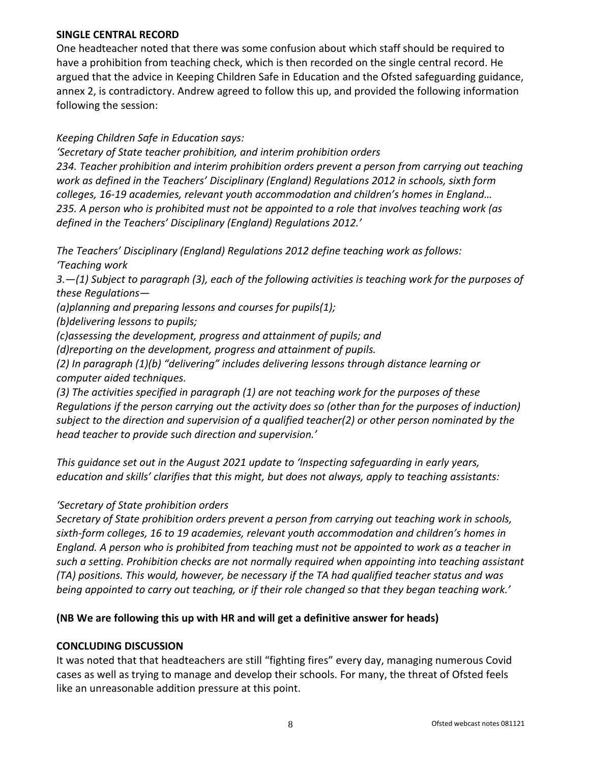#### **SINGLE CENTRAL RECORD**

One headteacher noted that there was some confusion about which staff should be required to have a prohibition from teaching check, which is then recorded on the single central record. He argued that the advice in Keeping Children Safe in Education and the Ofsted safeguarding guidance, annex 2, is contradictory. Andrew agreed to follow this up, and provided the following information following the session:

### *Keeping Children Safe in Education says:*

*'Secretary of State teacher prohibition, and interim prohibition orders 234. Teacher prohibition and interim prohibition orders prevent a person from carrying out teaching work as defined in the Teachers' Disciplinary (England) Regulations 2012 in schools, sixth form colleges, 16-19 academies, relevant youth accommodation and children's homes in England… 235. A person who is prohibited must not be appointed to a role that involves teaching work (as defined in the Teachers' Disciplinary (England) Regulations 2012.'*

*The Teachers' Disciplinary (England) Regulations 2012 define teaching work as follows: 'Teaching work*

*3.—(1) Subject to paragraph (3), each of the following activities is teaching work for the purposes of these Regulations—*

*(a)planning and preparing lessons and courses for pupils(1);*

*(b)delivering lessons to pupils;*

*(c)assessing the development, progress and attainment of pupils; and*

*(d)reporting on the development, progress and attainment of pupils.*

*(2) In paragraph (1)(b) "delivering" includes delivering lessons through distance learning or computer aided techniques.*

*(3) The activities specified in paragraph (1) are not teaching work for the purposes of these Regulations if the person carrying out the activity does so (other than for the purposes of induction) subject to the direction and supervision of a qualified teacher(2) or other person nominated by the head teacher to provide such direction and supervision.'*

*This guidance set out in the August 2021 update to 'Inspecting safeguarding in early years, education and skills' clarifies that this might, but does not always, apply to teaching assistants:*

## *'Secretary of State prohibition orders*

*Secretary of State prohibition orders prevent a person from carrying out teaching work in schools, sixth-form colleges, 16 to 19 academies, relevant youth accommodation and children's homes in England. A person who is prohibited from teaching must not be appointed to work as a teacher in such a setting. Prohibition checks are not normally required when appointing into teaching assistant (TA) positions. This would, however, be necessary if the TA had qualified teacher status and was being appointed to carry out teaching, or if their role changed so that they began teaching work.'*

## **(NB We are following this up with HR and will get a definitive answer for heads)**

## **CONCLUDING DISCUSSION**

It was noted that that headteachers are still "fighting fires" every day, managing numerous Covid cases as well as trying to manage and develop their schools. For many, the threat of Ofsted feels like an unreasonable addition pressure at this point.